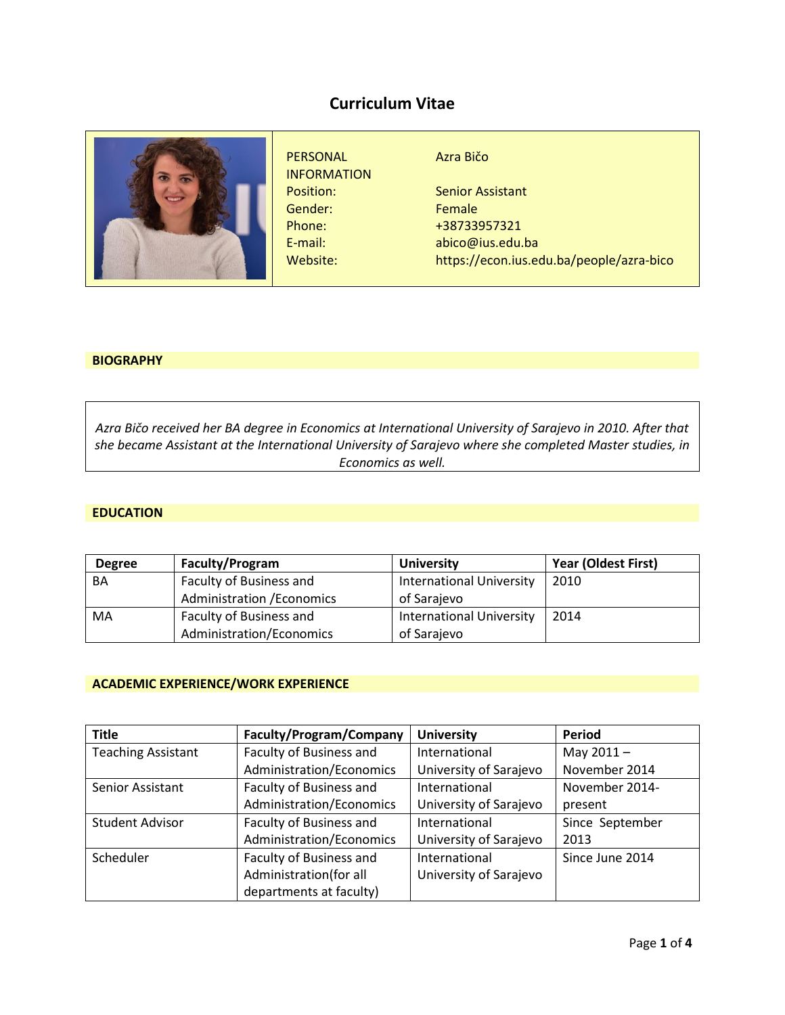# **Curriculum Vitae**



# **BIOGRAPHY**

*Azra Bičo received her BA degree in Economics at International University of Sarajevo in 2010. After that she became Assistant at the International University of Sarajevo where she completed Master studies, in Economics as well.*

#### **EDUCATION**

| <b>Degree</b> | Faculty/Program                   | <b>University</b>               | <b>Year (Oldest First)</b> |
|---------------|-----------------------------------|---------------------------------|----------------------------|
| BA            | Faculty of Business and           | <b>International University</b> | 2010                       |
|               | <b>Administration / Economics</b> | of Sarajevo                     |                            |
| MA            | Faculty of Business and           | <b>International University</b> | 2014                       |
|               | Administration/Economics          | of Sarajevo                     |                            |

## **ACADEMIC EXPERIENCE/WORK EXPERIENCE**

| <b>Title</b>              | <b>Faculty/Program/Company</b> | <b>University</b>      | <b>Period</b>   |
|---------------------------|--------------------------------|------------------------|-----------------|
| <b>Teaching Assistant</b> | Faculty of Business and        | International          | May $2011 -$    |
|                           | Administration/Economics       | University of Sarajevo | November 2014   |
| Senior Assistant          | Faculty of Business and        | International          | November 2014-  |
|                           | Administration/Economics       | University of Sarajevo | present         |
| <b>Student Advisor</b>    | Faculty of Business and        | International          | Since September |
|                           | Administration/Economics       | University of Sarajevo | 2013            |
| Scheduler                 | Faculty of Business and        | International          | Since June 2014 |
|                           | Administration(for all         | University of Sarajevo |                 |
|                           | departments at faculty)        |                        |                 |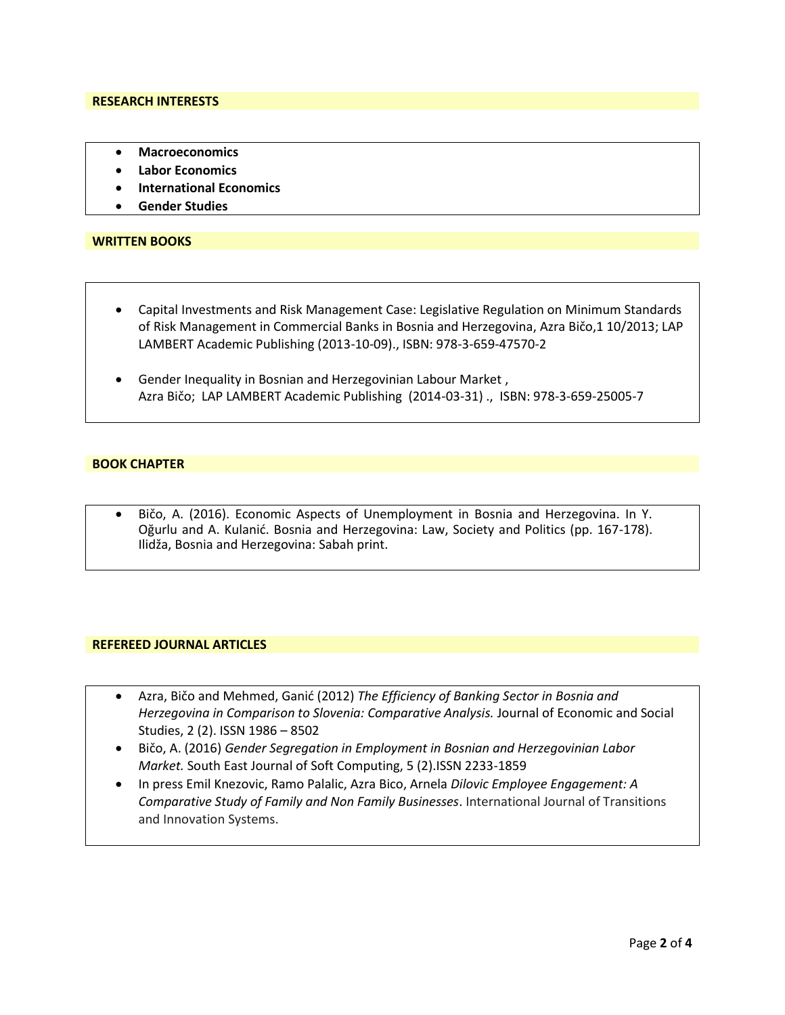#### **RESEARCH INTERESTS**

- **Macroeconomics**
- **Labor Economics**
- **International Economics**
- **Gender Studies**

#### **WRITTEN BOOKS**

- Capital Investments and Risk Management Case: Legislative Regulation on Minimum Standards of Risk Management in Commercial Banks in Bosnia and Herzegovina, Azra Bičo,1 10/2013; LAP LAMBERT Academic Publishing (2013-10-09)., ISBN: 978-3-659-47570-2
- Gender Inequality in Bosnian and Herzegovinian Labour Market , Azra Bičo; LAP LAMBERT Academic Publishing (2014-03-31) ., ISBN: 978-3-659-25005-7

#### **BOOK CHAPTER**

• Bičo, A. (2016). Economic Aspects of Unemployment in Bosnia and Herzegovina. In Y. Oğurlu and A. Kulanić. Bosnia and Herzegovina: Law, Society and Politics (pp. 167-178). Ilidža, Bosnia and Herzegovina: Sabah print.

#### **REFEREED JOURNAL ARTICLES**

- Azra, Bičo and Mehmed, Ganić (2012) *The Efficiency of Banking Sector in Bosnia and Herzegovina in Comparison to Slovenia: Comparative Analysis.* Journal of Economic and Social Studies, 2 (2). ISSN 1986 – 8502
- Bičo, A. (2016) *Gender Segregation in Employment in Bosnian and Herzegovinian Labor Market.* South East Journal of Soft Computing, 5 (2).ISSN 2233-1859
- In press Emil Knezovic, Ramo Palalic, Azra Bico, Arnela *Dilovic Employee Engagement: A Comparative Study of Family and Non Family Businesses*. International Journal of Transitions and Innovation Systems.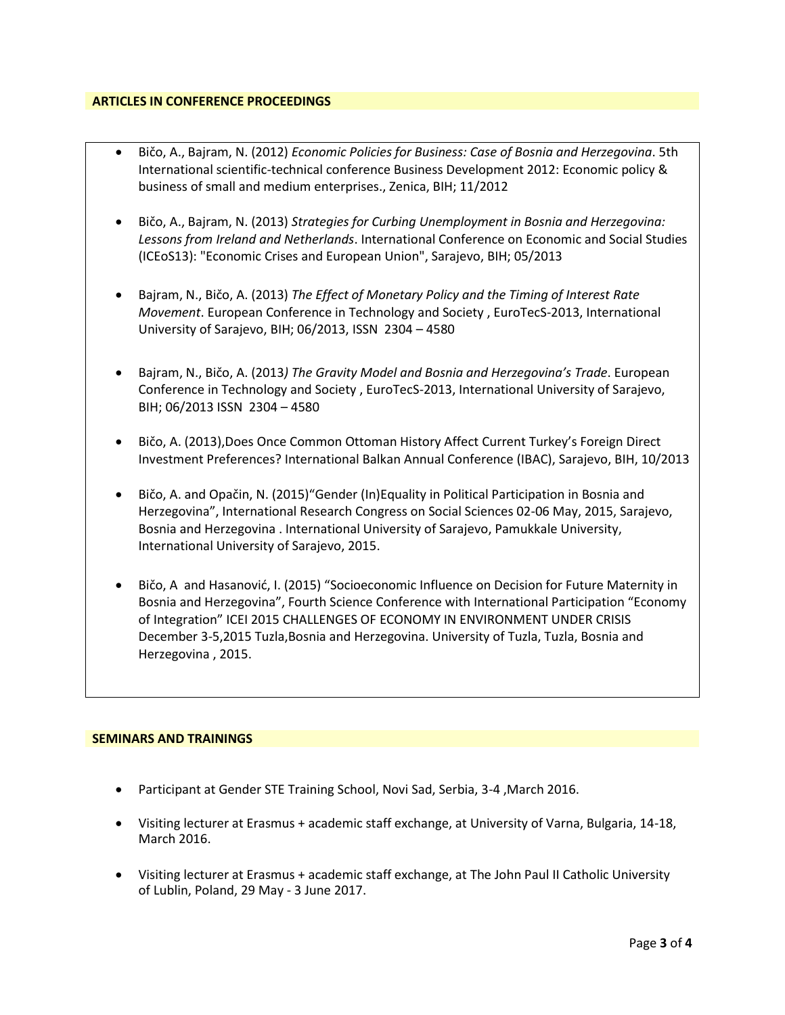### **ARTICLES IN CONFERENCE PROCEEDINGS**

- Bičo, A., Bajram, N. (2012) *[Economic Policies for Business: Case of Bosnia and Herzegovina](https://www.researchgate.net/publication/236668143_Economic_Policies_for_Business_Case_of_Bosnia_and_Herzegovina)*. 5th International scientific-technical conference Business Development 2012: Economic policy & business of small and medium enterprises., Zenica, BIH; 11/2012
- Bičo, A., Bajram, N. (2013) *Strategies for Curbing Unemployment in Bosnia and Herzegovina: Lessons from Ireland and Netherlands*. International Conference on Economic and Social Studies (ICEoS13): "Economic Crises and European Union", Sarajevo, BIH; 05/2013
- Bajram, N., Bičo, A. (2013) *The Effect of Monetary Policy and the Timing of Interest Rate Movement*. European Conference in Technology and Society , EuroTecS-2013, International University of Sarajevo, BIH; 06/2013, ISSN 2304 – 4580
- Bajram, N., Bičo, A. (2013*) The Gravity Model and Bosnia and Herzegovina's Trade*. European Conference in Technology and Society , EuroTecS-2013, International University of Sarajevo, BIH; 06/2013 ISSN 2304 – 4580
- Bičo, A. (2013),Does Once Common Ottoman History Affect Current Turkey's Foreign Direct Investment Preferences? International Balkan Annual Conference (IBAC), Sarajevo, BIH, 10/2013
- Bičo, A. and Opačin, N. (2015)"Gender (In)Equality in Political Participation in Bosnia and Herzegovina", International Research Congress on Social Sciences 02-06 May, 2015, Sarajevo, Bosnia and Herzegovina . International University of Sarajevo, Pamukkale University, International University of Sarajevo, 2015.
- Bičo, A and Hasanović, I. (2015) "Socioeconomic Influence on Decision for Future Maternity in Bosnia and Herzegovina", Fourth Science Conference with International Participation "Economy of Integration" ICEI 2015 CHALLENGES OF ECONOMY IN ENVIRONMENT UNDER CRISIS December 3-5,2015 Tuzla,Bosnia and Herzegovina. University of Tuzla, Tuzla, Bosnia and Herzegovina , 2015.

#### **SEMINARS AND TRAININGS**

- Participant at Gender STE Training School, Novi Sad, Serbia, 3-4 ,March 2016.
- Visiting lecturer at Erasmus + academic staff exchange, at University of Varna, Bulgaria, 14-18, March 2016.
- Visiting lecturer at Erasmus + academic staff exchange, at The John Paul II Catholic University of Lublin, Poland, 29 May - 3 June 2017.